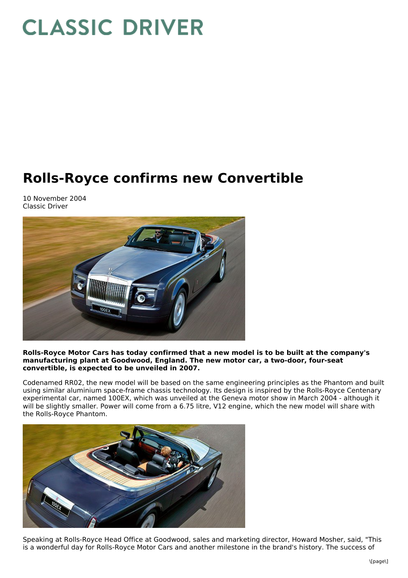## **CLASSIC DRIVER**

## **Rolls-Royce confirms new Convertible**

10 November 2004 Classic Driver



## **Rolls-Royce Motor Cars has today confirmed that a new model is to be built at the company's manufacturing plant at Goodwood, England. The new motor car, a two-door, four-seat convertible, is expected to be unveiled in 2007.**

Codenamed RR02, the new model will be based on the same engineering principles as the Phantom and built using similar aluminium space-frame chassis technology. Its design is inspired by the Rolls-Royce Centenary experimental car, named 100EX, which was unveiled at the Geneva motor show in March 2004 - although it will be slightly smaller. Power will come from a 6.75 litre, V12 engine, which the new model will share with the Rolls-Royce Phantom.



Speaking at Rolls-Royce Head Office at Goodwood, sales and marketing director, Howard Mosher, said, "This is a wonderful day for Rolls-Royce Motor Cars and another milestone in the brand's history. The success of